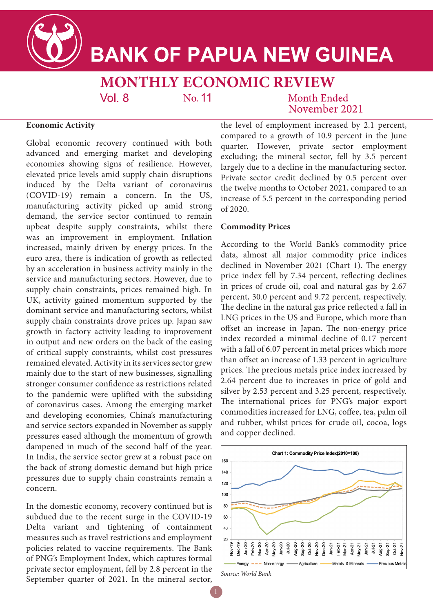

# **BANK OF PAPUA NEW GUINEA**

**MONTHLY ECONOMIC REVIEW** 

No. 11

Month Ended November 2021

## **Economic Activity**

Global economic recovery continued with both advanced and emerging market and developing economies showing signs of resilience. However, elevated price levels amid supply chain disruptions induced by the Delta variant of coronavirus (COVID-19) remain a concern. In the US, manufacturing activity picked up amid strong demand, the service sector continued to remain upbeat despite supply constraints, whilst there was an improvement in employment. Inflation increased, mainly driven by energy prices. In the euro area, there is indication of growth as reflected by an acceleration in business activity mainly in the service and manufacturing sectors. However, due to supply chain constraints, prices remained high. In UK, activity gained momentum supported by the dominant service and manufacturing sectors, whilst supply chain constraints drove prices up. Japan saw growth in factory activity leading to improvement in output and new orders on the back of the easing of critical supply constraints, whilst cost pressures remained elevated. Activity in its services sector grew mainly due to the start of new businesses, signalling stronger consumer confidence as restrictions related to the pandemic were uplifted with the subsiding of coronavirus cases. Among the emerging market and developing economies, China's manufacturing and service sectors expanded in November as supply pressures eased although the momentum of growth dampened in much of the second half of the year. In India, the service sector grew at a robust pace on the back of strong domestic demand but high price pressures due to supply chain constraints remain a concern.

 $Vol_8$ 

In the domestic economy, recovery continued but is subdued due to the recent surge in the COVID-19 Delta variant and tightening of containment measures such as travel restrictions and employment policies related to vaccine requirements. The Bank of PNG's Employment Index, which captures formal private sector employment, fell by 2.8 percent in the September quarter of 2021. In the mineral sector,

the level of employment increased by 2.1 percent, compared to a growth of 10.9 percent in the June quarter. However, private sector employment excluding; the mineral sector, fell by 3.5 percent largely due to a decline in the manufacturing sector. Private sector credit declined by 0.5 percent over the twelve months to October 2021, compared to an increase of 5.5 percent in the corresponding period of 2020.

## **Commodity Prices**

According to the World Bank's commodity price data, almost all major commodity price indices declined in November 2021 (Chart 1). The energy price index fell by 7.34 percent, reflecting declines in prices of crude oil, coal and natural gas by 2.67 percent, 30.0 percent and 9.72 percent, respectively. The decline in the natural gas price reflected a fall in LNG prices in the US and Europe, which more than offset an increase in Japan. The non-energy price index recorded a minimal decline of 0.17 percent with a fall of 6.07 percent in metal prices which more than offset an increase of 1.33 percent in agriculture prices. The precious metals price index increased by 2.64 percent due to increases in price of gold and silver by 2.53 percent and 3.25 percent, respectively. The international prices for PNG's major export commodities increased for LNG, coffee, tea, palm oil and rubber, whilst prices for crude oil, cocoa, logs and copper declined.



*Source: World Bank*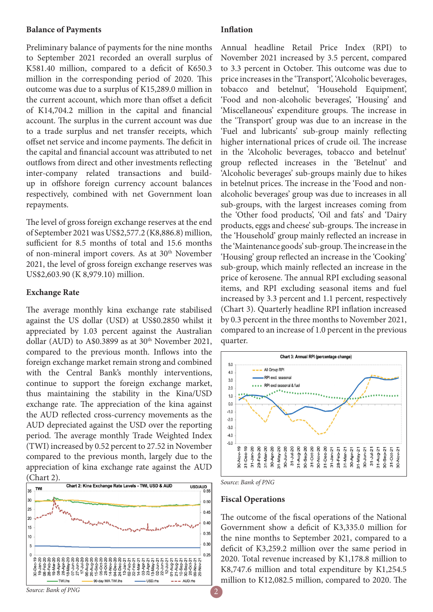## **Balance of Payments**

Preliminary balance of payments for the nine months to September 2021 recorded an overall surplus of K581.40 million, compared to a deficit of K650.3 million in the corresponding period of 2020. This outcome was due to a surplus of K15,289.0 million in the current account, which more than offset a deficit of K14,704.2 million in the capital and financial account. The surplus in the current account was due to a trade surplus and net transfer receipts, which offset net service and income payments. The deficit in the capital and financial account was attributed to net outflows from direct and other investments reflecting inter-company related transactions and buildup in offshore foreign currency account balances respectively, combined with net Government loan repayments.

The level of gross foreign exchange reserves at the end of September 2021 was US\$2,577.2 (K8,886.8) million, sufficient for 8.5 months of total and 15.6 months of non-mineral import covers. As at 30<sup>th</sup> November 2021, the level of gross foreign exchange reserves was US\$2,603.90 (K 8,979.10) million.

## **Exchange Rate**

The average monthly kina exchange rate stabilised against the US dollar (USD) at US\$0.2850 whilst it appreciated by 1.03 percent against the Australian dollar (AUD) to A\$0.3899 as at  $30<sup>th</sup>$  November 2021, compared to the previous month. Inflows into the foreign exchange market remain strong and combined with the Central Bank's monthly interventions, continue to support the foreign exchange market, thus maintaining the stability in the Kina/USD exchange rate. The appreciation of the kina against the AUD reflected cross-currency movements as the AUD depreciated against the USD over the reporting period. The average monthly Trade Weighted Index (TWI) increased by 0.52 percent to 27.52 in November compared to the previous month, largely due to the appreciation of kina exchange rate against the AUD (Chart 2).



## **Inflation**

Annual headline Retail Price Index (RPI) to November 2021 increased by 3.5 percent, compared to 3.3 percent in October. This outcome was due to price increases in the 'Transport', 'Alcoholic beverages, tobacco and betelnut', 'Household Equipment', 'Food and non-alcoholic beverages', 'Housing' and 'Miscellaneous' expenditure groups. The increase in the 'Transport' group was due to an increase in the 'Fuel and lubricants' sub-group mainly reflecting higher international prices of crude oil. The increase in the 'Alcoholic beverages, tobacco and betelnut' group reflected increases in the 'Betelnut' and 'Alcoholic beverages' sub-groups mainly due to hikes in betelnut prices. The increase in the 'Food and nonalcoholic beverages' group was due to increases in all sub-groups, with the largest increases coming from the 'Other food products', 'Oil and fats' and 'Dairy products, eggs and cheese' sub-groups. The increase in the 'Household' group mainly reflected an increase in the 'Maintenance goods' sub-group. The increase in the 'Housing' group reflected an increase in the 'Cooking' sub-group, which mainly reflected an increase in the price of kerosene. The annual RPI excluding seasonal items, and RPI excluding seasonal items and fuel increased by 3.3 percent and 1.1 percent, respectively (Chart 3). Quarterly headline RPI inflation increased by 0.3 percent in the three months to November 2021, compared to an increase of 1.0 percent in the previous quarter.



*Source: Bank of PNG*

### **Fiscal Operations**

The outcome of the fiscal operations of the National Government show a deficit of K3,335.0 million for the nine months to September 2021, compared to a deficit of K3,259.2 million over the same period in 2020. Total revenue increased by K1,178.8 million to K8,747.6 million and total expenditure by K1,254.5 million to K12,082.5 million, compared to 2020. The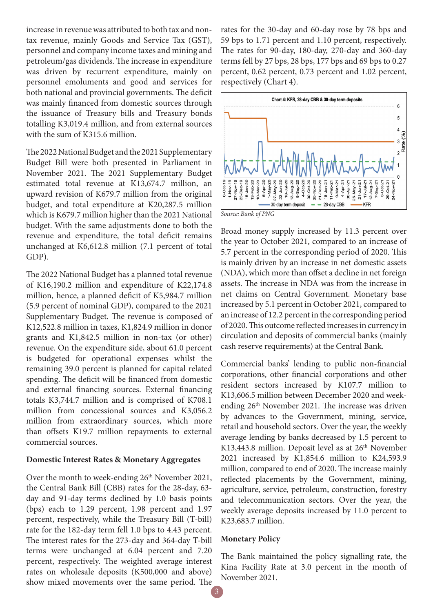increase in revenue was attributed to both tax and nontax revenue, mainly Goods and Service Tax (GST), personnel and company income taxes and mining and petroleum/gas dividends. The increase in expenditure was driven by recurrent expenditure, mainly on personnel emoluments and good and services for both national and provincial governments. The deficit was mainly financed from domestic sources through the issuance of Treasury bills and Treasury bonds totalling K3,019.4 million, and from external sources with the sum of K315.6 million.

The 2022 National Budget and the 2021 Supplementary Budget Bill were both presented in Parliament in November 2021. The 2021 Supplementary Budget estimated total revenue at K13,674.7 million, an upward revision of K679.7 million from the original budget, and total expenditure at K20,287.5 million which is K679.7 million higher than the 2021 National budget. With the same adjustments done to both the revenue and expenditure, the total deficit remains unchanged at K6,612.8 million (7.1 percent of total GDP).

The 2022 National Budget has a planned total revenue of K16,190.2 million and expenditure of K22,174.8 million, hence, a planned deficit of K5,984.7 million (5.9 percent of nominal GDP), compared to the 2021 Supplementary Budget. The revenue is composed of K12,522.8 million in taxes, K1,824.9 million in donor grants and K1,842.5 million in non-tax (or other) revenue. On the expenditure side, about 61.0 percent is budgeted for operational expenses whilst the remaining 39.0 percent is planned for capital related spending. The deficit will be financed from domestic and external financing sources. External financing totals K3,744.7 million and is comprised of K708.1 million from concessional sources and K3,056.2 million from extraordinary sources, which more than offsets K19.7 million repayments to external commercial sources.

### **Domestic Interest Rates & Monetary Aggregates**

Over the month to week-ending 26<sup>th</sup> November 2021, the Central Bank Bill (CBB) rates for the 28-day, 63 day and 91-day terms declined by 1.0 basis points (bps) each to 1.29 percent, 1.98 percent and 1.97 percent, respectively, while the Treasury Bill (T-bill) rate for the 182-day term fell 1.0 bps to 4.43 percent. The interest rates for the 273-day and 364-day T-bill terms were unchanged at 6.04 percent and 7.20 percent, respectively. The weighted average interest rates on wholesale deposits (K500,000 and above) show mixed movements over the same period. The

rates for the 30-day and 60-day rose by 78 bps and 59 bps to 1.71 percent and 1.10 percent, respectively. The rates for 90-day, 180-day, 270-day and 360-day terms fell by 27 bps, 28 bps, 177 bps and 69 bps to 0.27 percent, 0.62 percent, 0.73 percent and 1.02 percent, respectively (Chart 4).



*Source: Bank of PNG*

Broad money supply increased by 11.3 percent over the year to October 2021, compared to an increase of 5.7 percent in the corresponding period of 2020. This is mainly driven by an increase in net domestic assets (NDA), which more than offset a decline in net foreign assets. The increase in NDA was from the increase in net claims on Central Government. Monetary base increased by 5.1 percent in October 2021, compared to an increase of 12.2 percent in the corresponding period of 2020. This outcome reflected increases in currency in circulation and deposits of commercial banks (mainly cash reserve requirements) at the Central Bank.

Commercial banks' lending to public non-financial corporations, other financial corporations and other resident sectors increased by K107.7 million to K13,606.5 million between December 2020 and weekending 26th November 2021. The increase was driven by advances to the Government, mining, service, retail and household sectors. Over the year, the weekly average lending by banks decreased by 1.5 percent to K13,443.8 million. Deposit level as at 26<sup>th</sup> November 2021 increased by K1,854.6 million to K24,593.9 million, compared to end of 2020. The increase mainly reflected placements by the Government, mining, agriculture, service, petroleum, construction, forestry and telecommunication sectors. Over the year, the weekly average deposits increased by 11.0 percent to K23,683.7 million.

## **Monetary Policy**

The Bank maintained the policy signalling rate, the Kina Facility Rate at 3.0 percent in the month of November 2021.